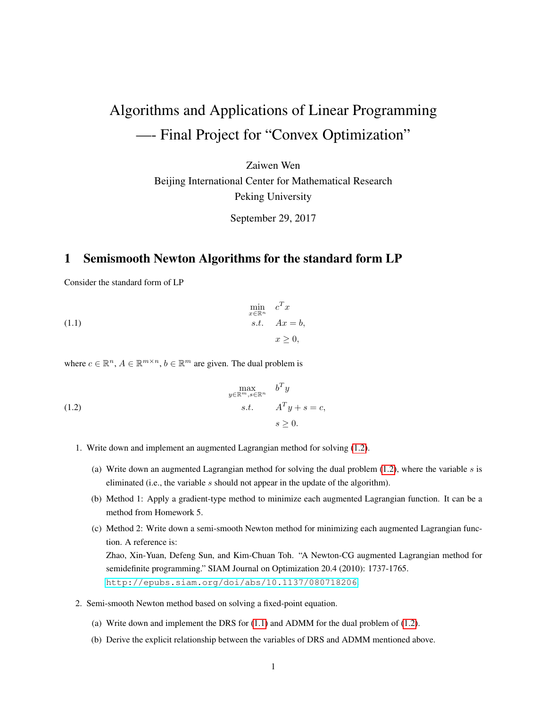## Algorithms and Applications of Linear Programming —- Final Project for "Convex Optimization"

Zaiwen Wen Beijing International Center for Mathematical Research Peking University

<span id="page-0-1"></span>September 29, 2017

## 1 Semismooth Newton Algorithms for the standard form LP

Consider the standard form of LP

(1.1) 
$$
\begin{aligned}\n\min_{x \in \mathbb{R}^n} & c^T x \\
\text{s.t.} & Ax = b, \\
x \geq 0,\n\end{aligned}
$$

where  $c \in \mathbb{R}^n$ ,  $A \in \mathbb{R}^{m \times n}$ ,  $b \in \mathbb{R}^m$  are given. The dual problem is

<span id="page-0-0"></span>(1.2) 
$$
\max_{y \in \mathbb{R}^m, s \in \mathbb{R}^n} b^T y
$$

$$
s.t. \quad A^T y + s = c,
$$

$$
s \ge 0.
$$

- 1. Write down and implement an augmented Lagrangian method for solving [\(1.2\)](#page-0-0).
	- (a) Write down an augmented Lagrangian method for solving the dual problem  $(1.2)$ , where the variable s is eliminated (i.e., the variable s should not appear in the update of the algorithm).
	- (b) Method 1: Apply a gradient-type method to minimize each augmented Lagrangian function. It can be a method from Homework 5.
	- (c) Method 2: Write down a semi-smooth Newton method for minimizing each augmented Lagrangian function. A reference is: Zhao, Xin-Yuan, Defeng Sun, and Kim-Chuan Toh. "A Newton-CG augmented Lagrangian method for semidefinite programming." SIAM Journal on Optimization 20.4 (2010): 1737-1765. <http://epubs.siam.org/doi/abs/10.1137/080718206>.
- 2. Semi-smooth Newton method based on solving a fixed-point equation.
	- (a) Write down and implement the DRS for  $(1.1)$  and ADMM for the dual problem of  $(1.2)$ .
	- (b) Derive the explicit relationship between the variables of DRS and ADMM mentioned above.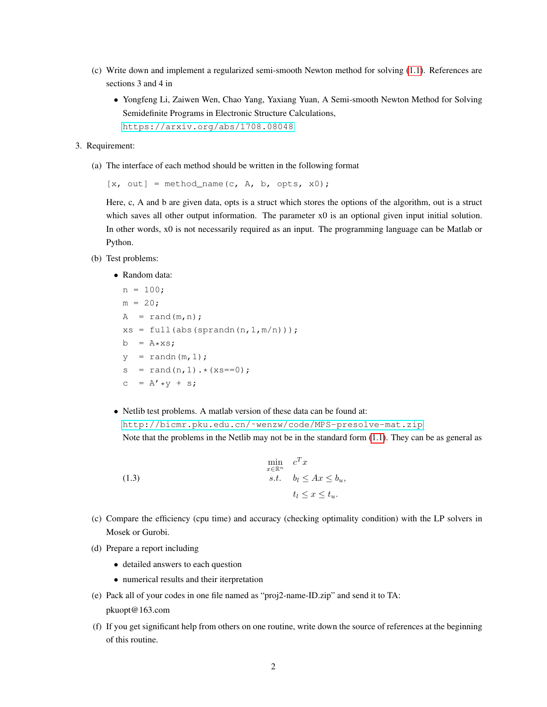- (c) Write down and implement a regularized semi-smooth Newton method for solving [\(1.1\)](#page-0-1). References are sections 3 and 4 in
	- Yongfeng Li, Zaiwen Wen, Chao Yang, Yaxiang Yuan, A Semi-smooth Newton Method for Solving Semidefinite Programs in Electronic Structure Calculations, <https://arxiv.org/abs/1708.08048>
- 3. Requirement:
	- (a) The interface of each method should be written in the following format

 $[x, out] = method_name(c, A, b, opts, x0);$ 

Here, c, A and b are given data, opts is a struct which stores the options of the algorithm, out is a struct which saves all other output information. The parameter x0 is an optional given input initial solution. In other words, x0 is not necessarily required as an input. The programming language can be Matlab or Python.

- (b) Test problems:
	- Random data:

 $n = 100;$  $m = 20;$  $A = rand(m, n);$  $xs = full(abs(sprandn(n,1,m/n)))$ ;  $b = A \star xs;$  $y = \text{randn}(m,1);$  $s = \text{rand}(n, 1) \cdot *(\text{x} s == 0);$ c =  $A' * y + s;$ 

• Netlib test problems. A matlab version of these data can be found at: [http://bicmr.pku.edu.cn/˜wenzw/code/MPS-presolve-mat.zip](http://bicmr.pku.edu.cn/~wenzw/code/MPS-presolve-mat.zip) Note that the problems in the Netlib may not be in the standard form [\(1.1\)](#page-0-1). They can be as general as

(1.3) 
$$
\min_{\substack{x \in \mathbb{R}^n \\ s.t.}} c^T x
$$

$$
b_l \leq Ax \leq b_u,
$$

$$
t_l \leq x \leq t_u.
$$

- (c) Compare the efficiency (cpu time) and accuracy (checking optimality condition) with the LP solvers in Mosek or Gurobi.
- (d) Prepare a report including
	- detailed answers to each question
	- numerical results and their iterpretation
- (e) Pack all of your codes in one file named as "proj2-name-ID.zip" and send it to TA: pkuopt@163.com
- (f) If you get significant help from others on one routine, write down the source of references at the beginning of this routine.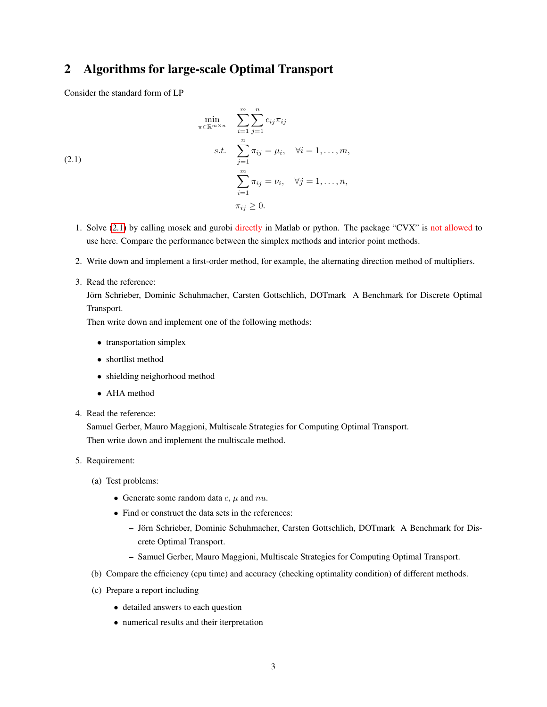## 2 Algorithms for large-scale Optimal Transport

<span id="page-2-0"></span>Consider the standard form of LP

(2.1)  
\n
$$
\min_{\pi \in \mathbb{R}^{m \times n}} \sum_{i=1}^{m} \sum_{j=1}^{n} c_{ij} \pi_{ij}
$$
\n
$$
s.t. \sum_{j=1}^{n} \pi_{ij} = \mu_i, \quad \forall i = 1, \dots, m,
$$
\n
$$
\sum_{i=1}^{m} \pi_{ij} = \nu_i, \quad \forall j = 1, \dots, n,
$$
\n
$$
\pi_{ij} \geq 0.
$$

- 1. Solve [\(2.1\)](#page-2-0) by calling mosek and gurobi directly in Matlab or python. The package "CVX" is not allowed to use here. Compare the performance between the simplex methods and interior point methods.
- 2. Write down and implement a first-order method, for example, the alternating direction method of multipliers.
- 3. Read the reference:

Jörn Schrieber, Dominic Schuhmacher, Carsten Gottschlich, DOTmark A Benchmark for Discrete Optimal Transport.

Then write down and implement one of the following methods:

- transportation simplex
- shortlist method
- shielding neighorhood method
- AHA method
- 4. Read the reference:

Samuel Gerber, Mauro Maggioni, Multiscale Strategies for Computing Optimal Transport. Then write down and implement the multiscale method.

- 5. Requirement:
	- (a) Test problems:
		- Generate some random data  $c, \mu$  and  $nu$ .
		- Find or construct the data sets in the references:
			- Jorn Schrieber, Dominic Schuhmacher, Carsten Gottschlich, DOTmark A Benchmark for Dis- ¨ crete Optimal Transport.
			- Samuel Gerber, Mauro Maggioni, Multiscale Strategies for Computing Optimal Transport.
	- (b) Compare the efficiency (cpu time) and accuracy (checking optimality condition) of different methods.
	- (c) Prepare a report including
		- detailed answers to each question
		- numerical results and their iterpretation